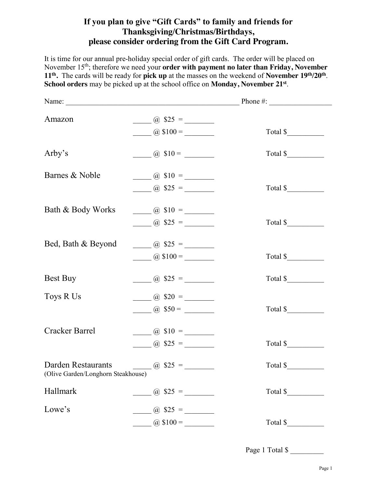## **If you plan to give "Gift Cards" to family and friends for Thanksgiving/Christmas/Birthdays, please consider ordering from the Gift Card Program.**

It is time for our annual pre-holiday special order of gift cards. The order will be placed on November 15th; therefore we need your **order with payment no later than Friday, November 11th.** The cards will be ready for **pick up** at the masses on the weekend of **November 19th/20th**. **School orders** may be picked up at the school office on **Monday, November 21st**.

| Amazon                                                   | $\frac{1}{2}$ (a) \$25 =  |          |  |
|----------------------------------------------------------|---------------------------|----------|--|
|                                                          | $\omega$ \$100 =          | Total \$ |  |
| Arby's                                                   | $\frac{1}{2}$ (a) \$10 =  | Total \$ |  |
| Barnes & Noble                                           | $\frac{1}{2}$ (a) \$10 =  |          |  |
|                                                          | $\frac{1}{2}$ (a) \$25 =  | Total \$ |  |
| Bath & Body Works                                        | $\frac{1}{2}$ \$10 =      |          |  |
|                                                          | $\frac{1}{2}$ (a) \$25 =  | Total \$ |  |
| Bed, Bath & Beyond                                       | $\frac{1}{2}$ (a) \$25 =  |          |  |
|                                                          | $\frac{1}{2}$ (a) \$100 = | Total \$ |  |
| Best Buy                                                 | $\frac{1}{2}$ (a) \$25 =  | Total \$ |  |
| Toys R Us                                                | $\frac{1}{2}$ (a) \$20 =  |          |  |
|                                                          | $\omega$ \$50 =           | Total \$ |  |
| Cracker Barrel                                           | $\frac{1}{2}$ (a) \$10 =  |          |  |
|                                                          | $\omega$ \$25 =           | Total \$ |  |
| Darden Restaurants<br>(Olive Garden/Longhorn Steakhouse) | $\frac{1}{2}$ (a) \$25 =  | Total \$ |  |
| Hallmark                                                 | $\omega$ \$25 =           | Total \$ |  |
| Lowe's                                                   | $\omega$ \$25 =           |          |  |
|                                                          | $\frac{1}{2}$ (a) \$100 = | Total \$ |  |

Page 1 Total \$